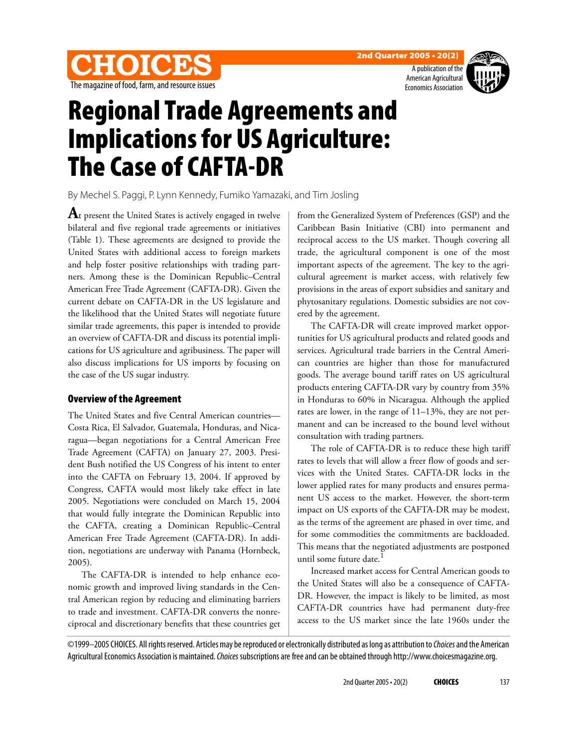





# Regional Trade Agreements and Implications for US Agriculture: The Case of CAFTA-DR

By Mechel S. Paggi, P. Lynn Kennedy, Fumiko Yamazaki, and Tim Josling

**A**t present the United States is actively engaged in twelve bilateral and five regional trade agreements or initiatives (Table 1). These agreements are designed to provide the United States with additional access to foreign markets and help foster positive relationships with trading partners. Among these is the Dominican Republic–Central American Free Trade Agreement (CAFTA-DR). Given the current debate on CAFTA-DR in the US legislature and the likelihood that the United States will negotiate future similar trade agreements, this paper is intended to provide an overview of CAFTA-DR and discuss its potential implications for US agriculture and agribusiness. The paper will also discuss implications for US imports by focusing on the case of the US sugar industry.

#### Overview of the Agreement

The United States and five Central American countries— Costa Rica, El Salvador, Guatemala, Honduras, and Nicaragua—began negotiations for a Central American Free Trade Agreement (CAFTA) on January 27, 2003. President Bush notified the US Congress of his intent to enter into the CAFTA on February 13, 2004. If approved by Congress, CAFTA would most likely take effect in late 2005. Negotiations were concluded on March 15, 2004 that would fully integrate the Dominican Republic into the CAFTA, creating a Dominican Republic–Central American Free Trade Agreement (CAFTA-DR). In addition, negotiations are underway with Panama (Hornbeck, 2005).

The CAFTA-DR is intended to help enhance economic growth and improved living standards in the Central American region by reducing and eliminating barriers to trade and investment. CAFTA-DR converts the nonreciprocal and discretionary benefits that these countries get

from the Generalized System of Preferences (GSP) and the Caribbean Basin Initiative (CBI) into permanent and reciprocal access to the US market. Though covering all trade, the agricultural component is one of the most important aspects of the agreement. The key to the agricultural agreement is market access, with relatively few provisions in the areas of export subsidies and sanitary and phytosanitary regulations. Domestic subsidies are not covered by the agreement.

The CAFTA-DR will create improved market opportunities for US agricultural products and related goods and services. Agricultural trade barriers in the Central American countries are higher than those for manufactured goods. The average bound tariff rates on US agricultural products entering CAFTA-DR vary by country from 35% in Honduras to 60% in Nicaragua. Although the applied rates are lower, in the range of 11–13%, they are not permanent and can be increased to the bound level without consultation with trading partners.

The role of CAFTA-DR is to reduce these high tariff rates to levels that will allow a freer flow of goods and services with the United States. CAFTA-DR locks in the lower applied rates for many products and ensures permanent US access to the market. However, the short-term impact on US exports of the CAFTA-DR may be modest, as the terms of the agreement are phased in over time, and for some commodities the commitments are backloaded. This means that the negotiated adjustments are postponed until some future date.<sup>1</sup>

Increased market access for Central American goods to the United States will also be a consequence of CAFTA-DR. However, the impact is likely to be limited, as most CAFTA-DR countries have had permanent duty-free access to the US market since the late 1960s under the

©1999–2005 CHOICES. All rights reserved. Articles may be reproduced or electronically distributed as long as attribution to Choices and the American Agricultural Economics Association is maintained. Choices subscriptions are free and can be obtained through http://www.choicesmagazine.org.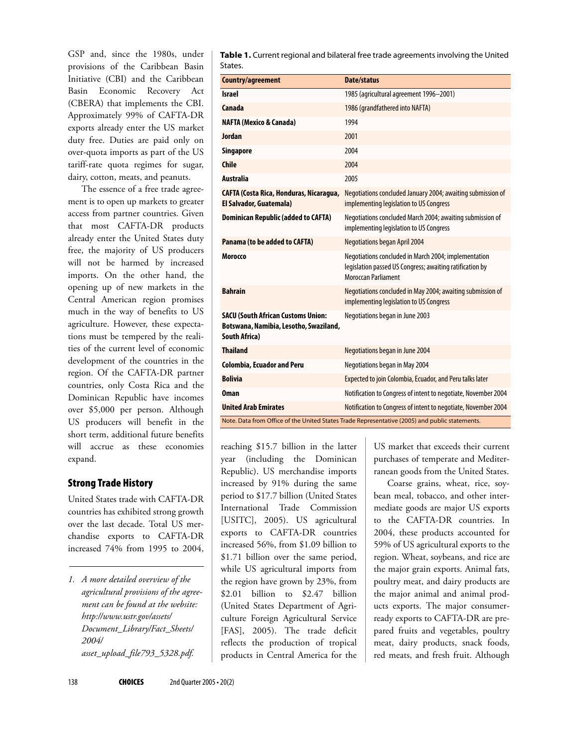GSP and, since the 1980s, under provisions of the Caribbean Basin Initiative (CBI) and the Caribbean Basin Economic Recovery Act (CBERA) that implements the CBI. Approximately 99% of CAFTA-DR exports already enter the US market duty free. Duties are paid only on over-quota imports as part of the US tariff-rate quota regimes for sugar, dairy, cotton, meats, and peanuts.

The essence of a free trade agreement is to open up markets to greater access from partner countries. Given that most CAFTA-DR products already enter the United States duty free, the majority of US producers will not be harmed by increased imports. On the other hand, the opening up of new markets in the Central American region promises much in the way of benefits to US agriculture. However, these expectations must be tempered by the realities of the current level of economic development of the countries in the region. Of the CAFTA-DR partner countries, only Costa Rica and the Dominican Republic have incomes over \$5,000 per person. Although US producers will benefit in the short term, additional future benefits will accrue as these economies expand.

#### Strong Trade History

United States trade with CAFTA-DR countries has exhibited strong growth over the last decade. Total US merchandise exports to CAFTA-DR increased 74% from 1995 to 2004,

*1. A more detailed overview of the agricultural provisions of the agreement can be found at the website: http://www.ustr.gov/assets/ Document\_Library/Fact\_Sheets/ 2004/ asset\_upload\_file793\_5328.pdf.*

**Table 1.** Current regional and bilateral free trade agreements involving the United States.

| Country/agreement                                                                                           | <b>Date/status</b>                                                                                                                      |  |  |  |  |
|-------------------------------------------------------------------------------------------------------------|-----------------------------------------------------------------------------------------------------------------------------------------|--|--|--|--|
| <b>Israel</b>                                                                                               | 1985 (agricultural agreement 1996-2001)                                                                                                 |  |  |  |  |
| Canada                                                                                                      | 1986 (grandfathered into NAFTA)                                                                                                         |  |  |  |  |
| <b>NAFTA (Mexico &amp; Canada)</b>                                                                          | 1994                                                                                                                                    |  |  |  |  |
| <b>Jordan</b>                                                                                               | 2001                                                                                                                                    |  |  |  |  |
| Singapore                                                                                                   | 2004                                                                                                                                    |  |  |  |  |
| <b>Chile</b>                                                                                                | 2004                                                                                                                                    |  |  |  |  |
| <b>Australia</b>                                                                                            | 2005                                                                                                                                    |  |  |  |  |
| CAFTA (Costa Rica, Honduras, Nicaragua,<br>El Salvador, Guatemala)                                          | Negotiations concluded January 2004; awaiting submission of<br>implementing legislation to US Congress                                  |  |  |  |  |
| <b>Dominican Republic (added to CAFTA)</b>                                                                  | Negotiations concluded March 2004; awaiting submission of<br>implementing legislation to US Congress                                    |  |  |  |  |
| Panama (to be added to CAFTA)                                                                               | <b>Negotiations began April 2004</b>                                                                                                    |  |  |  |  |
| Morocco                                                                                                     | Negotiations concluded in March 2004; implementation<br>legislation passed US Congress; awaiting ratification by<br>Moroccan Parliament |  |  |  |  |
| <b>Bahrain</b>                                                                                              | Negotiations concluded in May 2004; awaiting submission of<br>implementing legislation to US Congress                                   |  |  |  |  |
| <b>SACU (South African Customs Union:</b><br>Botswana, Namibia, Lesotho, Swaziland,<br><b>South Africa)</b> | Negotiations began in June 2003                                                                                                         |  |  |  |  |
| <b>Thailand</b>                                                                                             | Negotiations began in June 2004                                                                                                         |  |  |  |  |
| <b>Colombia, Ecuador and Peru</b>                                                                           | Negotiations began in May 2004                                                                                                          |  |  |  |  |
| <b>Bolivia</b>                                                                                              | Expected to join Colombia, Ecuador, and Peru talks later                                                                                |  |  |  |  |
| 0man                                                                                                        | Notification to Congress of intent to negotiate, November 2004                                                                          |  |  |  |  |
| <b>United Arab Emirates</b>                                                                                 | Notification to Congress of intent to negotiate, November 2004                                                                          |  |  |  |  |
| Note. Data from Office of the United States Trade Representative (2005) and public statements.              |                                                                                                                                         |  |  |  |  |

reaching \$15.7 billion in the latter year (including the Dominican Republic). US merchandise imports increased by 91% during the same period to \$17.7 billion (United States International Trade Commission [USITC], 2005). US agricultural exports to CAFTA-DR countries increased 56%, from \$1.09 billion to \$1.71 billion over the same period, while US agricultural imports from the region have grown by 23%, from \$2.01 billion to \$2.47 billion (United States Department of Agriculture Foreign Agricultural Service [FAS], 2005). The trade deficit reflects the production of tropical products in Central America for the US market that exceeds their current purchases of temperate and Mediterranean goods from the United States.

Coarse grains, wheat, rice, soybean meal, tobacco, and other intermediate goods are major US exports to the CAFTA-DR countries. In 2004, these products accounted for 59% of US agricultural exports to the region. Wheat, soybeans, and rice are the major grain exports. Animal fats, poultry meat, and dairy products are the major animal and animal products exports. The major consumerready exports to CAFTA-DR are prepared fruits and vegetables, poultry meat, dairy products, snack foods, red meats, and fresh fruit. Although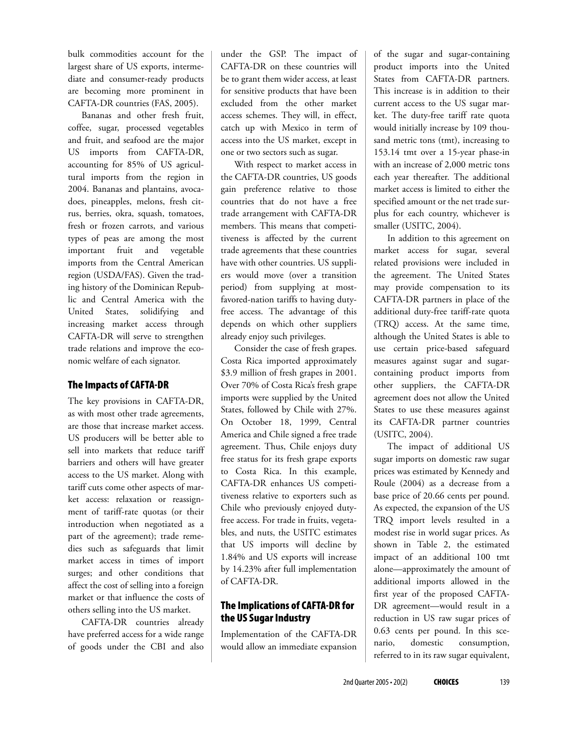bulk commodities account for the largest share of US exports, intermediate and consumer-ready products are becoming more prominent in CAFTA-DR countries (FAS, 2005).

Bananas and other fresh fruit, coffee, sugar, processed vegetables and fruit, and seafood are the major US imports from CAFTA-DR, accounting for 85% of US agricultural imports from the region in 2004. Bananas and plantains, avocadoes, pineapples, melons, fresh citrus, berries, okra, squash, tomatoes, fresh or frozen carrots, and various types of peas are among the most important fruit and vegetable imports from the Central American region (USDA/FAS). Given the trading history of the Dominican Republic and Central America with the United States, solidifying and increasing market access through CAFTA-DR will serve to strengthen trade relations and improve the economic welfare of each signator.

#### The Impacts of CAFTA-DR

The key provisions in CAFTA-DR, as with most other trade agreements, are those that increase market access. US producers will be better able to sell into markets that reduce tariff barriers and others will have greater access to the US market. Along with tariff cuts come other aspects of market access: relaxation or reassignment of tariff-rate quotas (or their introduction when negotiated as a part of the agreement); trade remedies such as safeguards that limit market access in times of import surges; and other conditions that affect the cost of selling into a foreign market or that influence the costs of others selling into the US market.

CAFTA-DR countries already have preferred access for a wide range of goods under the CBI and also under the GSP. The impact of CAFTA-DR on these countries will be to grant them wider access, at least for sensitive products that have been excluded from the other market access schemes. They will, in effect, catch up with Mexico in term of access into the US market, except in one or two sectors such as sugar.

With respect to market access in the CAFTA-DR countries, US goods gain preference relative to those countries that do not have a free trade arrangement with CAFTA-DR members. This means that competitiveness is affected by the current trade agreements that these countries have with other countries. US suppliers would move (over a transition period) from supplying at mostfavored-nation tariffs to having dutyfree access. The advantage of this depends on which other suppliers already enjoy such privileges.

Consider the case of fresh grapes. Costa Rica imported approximately \$3.9 million of fresh grapes in 2001. Over 70% of Costa Rica's fresh grape imports were supplied by the United States, followed by Chile with 27%. On October 18, 1999, Central America and Chile signed a free trade agreement. Thus, Chile enjoys duty free status for its fresh grape exports to Costa Rica. In this example, CAFTA-DR enhances US competitiveness relative to exporters such as Chile who previously enjoyed dutyfree access. For trade in fruits, vegetables, and nuts, the USITC estimates that US imports will decline by 1.84% and US exports will increase by 14.23% after full implementation of CAFTA-DR.

## The Implications of CAFTA-DR for the US Sugar Industry

Implementation of the CAFTA-DR would allow an immediate expansion of the sugar and sugar-containing product imports into the United States from CAFTA-DR partners. This increase is in addition to their current access to the US sugar market. The duty-free tariff rate quota would initially increase by 109 thousand metric tons (tmt), increasing to 153.14 tmt over a 15-year phase-in with an increase of 2,000 metric tons each year thereafter. The additional market access is limited to either the specified amount or the net trade surplus for each country, whichever is smaller (USITC, 2004).

In addition to this agreement on market access for sugar, several related provisions were included in the agreement. The United States may provide compensation to its CAFTA-DR partners in place of the additional duty-free tariff-rate quota (TRQ) access. At the same time, although the United States is able to use certain price-based safeguard measures against sugar and sugarcontaining product imports from other suppliers, the CAFTA-DR agreement does not allow the United States to use these measures against its CAFTA-DR partner countries (USITC, 2004).

The impact of additional US sugar imports on domestic raw sugar prices was estimated by Kennedy and Roule (2004) as a decrease from a base price of 20.66 cents per pound. As expected, the expansion of the US TRQ import levels resulted in a modest rise in world sugar prices. As shown in Table 2, the estimated impact of an additional 100 tmt alone—approximately the amount of additional imports allowed in the first year of the proposed CAFTA-DR agreement—would result in a reduction in US raw sugar prices of 0.63 cents per pound. In this scenario, domestic consumption, referred to in its raw sugar equivalent,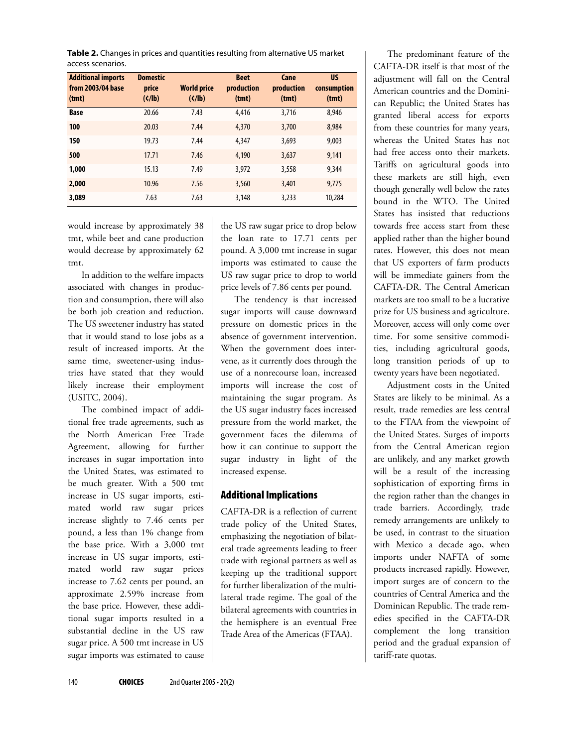**Table 2.** Changes in prices and quantities resulting from alternative US market access scenarios.

| <b>Additional imports</b><br>from 2003/04 base<br>(tmt) | <b>Domestic</b><br>price<br>$(\zeta/\mathbf{b})$ | <b>World price</b><br>( | <b>Beet</b><br>production<br>(tmt) | Cane<br>production<br>(tmt) | <b>US</b><br>consumption<br>(tmt) |
|---------------------------------------------------------|--------------------------------------------------|-------------------------|------------------------------------|-----------------------------|-----------------------------------|
| <b>Base</b>                                             | 20.66                                            | 7.43                    | 4,416                              | 3,716                       | 8.946                             |
| 100                                                     | 20.03                                            | 7.44                    | 4,370                              | 3,700                       | 8.984                             |
| 150                                                     | 19.73                                            | 7.44                    | 4,347                              | 3,693                       | 9,003                             |
| 500                                                     | 17.71                                            | 7.46                    | 4,190                              | 3,637                       | 9.141                             |
| 1,000                                                   | 15.13                                            | 7.49                    | 3.972                              | 3,558                       | 9.344                             |
| 2,000                                                   | 10.96                                            | 7.56                    | 3,560                              | 3,401                       | 9.775                             |
| 3,089                                                   | 7.63                                             | 7.63                    | 3,148                              | 3,233                       | 10,284                            |

would increase by approximately 38 tmt, while beet and cane production would decrease by approximately 62 tmt.

In addition to the welfare impacts associated with changes in production and consumption, there will also be both job creation and reduction. The US sweetener industry has stated that it would stand to lose jobs as a result of increased imports. At the same time, sweetener-using industries have stated that they would likely increase their employment (USITC, 2004).

The combined impact of additional free trade agreements, such as the North American Free Trade Agreement, allowing for further increases in sugar importation into the United States, was estimated to be much greater. With a 500 tmt increase in US sugar imports, estimated world raw sugar prices increase slightly to 7.46 cents per pound, a less than 1% change from the base price. With a 3,000 tmt increase in US sugar imports, estimated world raw sugar prices increase to 7.62 cents per pound, an approximate 2.59% increase from the base price. However, these additional sugar imports resulted in a substantial decline in the US raw sugar price. A 500 tmt increase in US sugar imports was estimated to cause

the US raw sugar price to drop below the loan rate to 17.71 cents per pound. A 3,000 tmt increase in sugar imports was estimated to cause the US raw sugar price to drop to world price levels of 7.86 cents per pound.

The tendency is that increased sugar imports will cause downward pressure on domestic prices in the absence of government intervention. When the government does intervene, as it currently does through the use of a nonrecourse loan, increased imports will increase the cost of maintaining the sugar program. As the US sugar industry faces increased pressure from the world market, the government faces the dilemma of how it can continue to support the sugar industry in light of the increased expense.

### Additional Implications

CAFTA-DR is a reflection of current trade policy of the United States, emphasizing the negotiation of bilateral trade agreements leading to freer trade with regional partners as well as keeping up the traditional support for further liberalization of the multilateral trade regime. The goal of the bilateral agreements with countries in the hemisphere is an eventual Free Trade Area of the Americas (FTAA).

The predominant feature of the CAFTA-DR itself is that most of the adjustment will fall on the Central American countries and the Dominican Republic; the United States has granted liberal access for exports from these countries for many years, whereas the United States has not had free access onto their markets. Tariffs on agricultural goods into these markets are still high, even though generally well below the rates bound in the WTO. The United States has insisted that reductions towards free access start from these applied rather than the higher bound rates. However, this does not mean that US exporters of farm products will be immediate gainers from the CAFTA-DR. The Central American markets are too small to be a lucrative prize for US business and agriculture. Moreover, access will only come over time. For some sensitive commodities, including agricultural goods, long transition periods of up to twenty years have been negotiated.

Adjustment costs in the United States are likely to be minimal. As a result, trade remedies are less central to the FTAA from the viewpoint of the United States. Surges of imports from the Central American region are unlikely, and any market growth will be a result of the increasing sophistication of exporting firms in the region rather than the changes in trade barriers. Accordingly, trade remedy arrangements are unlikely to be used, in contrast to the situation with Mexico a decade ago, when imports under NAFTA of some products increased rapidly. However, import surges are of concern to the countries of Central America and the Dominican Republic. The trade remedies specified in the CAFTA-DR complement the long transition period and the gradual expansion of tariff-rate quotas.